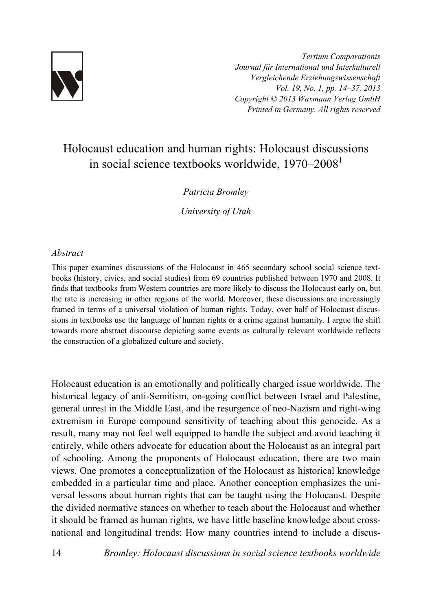

*Tertium Comparationis Journal für International und Interkulturell Vergleichende Erziehungswissenschaft Vol. 19, No. 1, pp. 14–37, 2013 Copyright © 2013 Waxmann Verlag GmbH Printed in Germany. All rights reserved*

# Holocaust education and human rights: Holocaust discussions in social science textbooks worldwide, 1970–2008<sup>1</sup>

## *Patricia Bromley*

*University of Utah* 

#### *Abstract*

This paper examines discussions of the Holocaust in 465 secondary school social science textbooks (history, civics, and social studies) from 69 countries published between 1970 and 2008. It finds that textbooks from Western countries are more likely to discuss the Holocaust early on, but the rate is increasing in other regions of the world. Moreover, these discussions are increasingly framed in terms of a universal violation of human rights. Today, over half of Holocaust discussions in textbooks use the language of human rights or a crime against humanity. I argue the shift towards more abstract discourse depicting some events as culturally relevant worldwide reflects the construction of a globalized culture and society.

Holocaust education is an emotionally and politically charged issue worldwide. The historical legacy of anti-Semitism, on-going conflict between Israel and Palestine, general unrest in the Middle East, and the resurgence of neo-Nazism and right-wing extremism in Europe compound sensitivity of teaching about this genocide. As a result, many may not feel well equipped to handle the subject and avoid teaching it entirely, while others advocate for education about the Holocaust as an integral part of schooling. Among the proponents of Holocaust education, there are two main views. One promotes a conceptualization of the Holocaust as historical knowledge embedded in a particular time and place. Another conception emphasizes the universal lessons about human rights that can be taught using the Holocaust. Despite the divided normative stances on whether to teach about the Holocaust and whether it should be framed as human rights, we have little baseline knowledge about crossnational and longitudinal trends: How many countries intend to include a discus-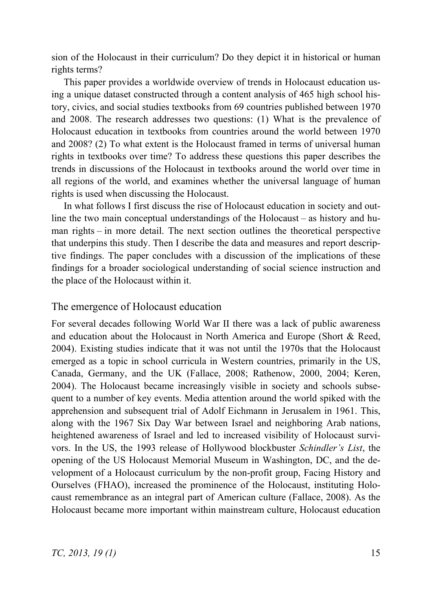sion of the Holocaust in their curriculum? Do they depict it in historical or human rights terms?

This paper provides a worldwide overview of trends in Holocaust education using a unique dataset constructed through a content analysis of 465 high school history, civics, and social studies textbooks from 69 countries published between 1970 and 2008. The research addresses two questions: (1) What is the prevalence of Holocaust education in textbooks from countries around the world between 1970 and 2008? (2) To what extent is the Holocaust framed in terms of universal human rights in textbooks over time? To address these questions this paper describes the trends in discussions of the Holocaust in textbooks around the world over time in all regions of the world, and examines whether the universal language of human rights is used when discussing the Holocaust.

In what follows I first discuss the rise of Holocaust education in society and outline the two main conceptual understandings of the Holocaust – as history and human rights – in more detail. The next section outlines the theoretical perspective that underpins this study. Then I describe the data and measures and report descriptive findings. The paper concludes with a discussion of the implications of these findings for a broader sociological understanding of social science instruction and the place of the Holocaust within it.

#### The emergence of Holocaust education

For several decades following World War II there was a lack of public awareness and education about the Holocaust in North America and Europe (Short & Reed, 2004). Existing studies indicate that it was not until the 1970s that the Holocaust emerged as a topic in school curricula in Western countries, primarily in the US, Canada, Germany, and the UK (Fallace, 2008; Rathenow, 2000, 2004; Keren, 2004). The Holocaust became increasingly visible in society and schools subsequent to a number of key events. Media attention around the world spiked with the apprehension and subsequent trial of Adolf Eichmann in Jerusalem in 1961. This, along with the 1967 Six Day War between Israel and neighboring Arab nations, heightened awareness of Israel and led to increased visibility of Holocaust survivors. In the US, the 1993 release of Hollywood blockbuster *Schindler's List*, the opening of the US Holocaust Memorial Museum in Washington, DC, and the development of a Holocaust curriculum by the non-profit group, Facing History and Ourselves (FHAO), increased the prominence of the Holocaust, instituting Holocaust remembrance as an integral part of American culture (Fallace, 2008). As the Holocaust became more important within mainstream culture, Holocaust education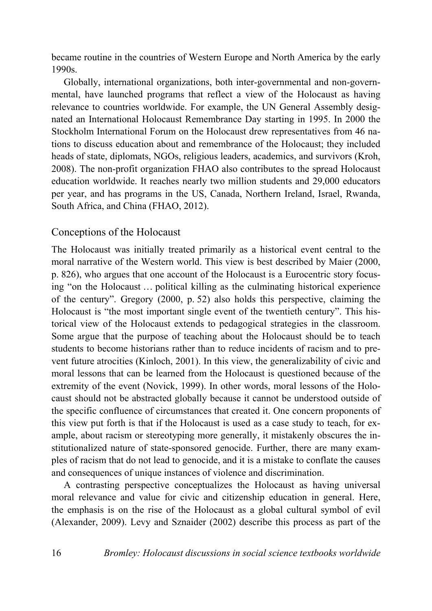became routine in the countries of Western Europe and North America by the early 1990s.

Globally, international organizations, both inter-governmental and non-governmental, have launched programs that reflect a view of the Holocaust as having relevance to countries worldwide. For example, the UN General Assembly designated an International Holocaust Remembrance Day starting in 1995. In 2000 the Stockholm International Forum on the Holocaust drew representatives from 46 nations to discuss education about and remembrance of the Holocaust; they included heads of state, diplomats, NGOs, religious leaders, academics, and survivors (Kroh, 2008). The non-profit organization FHAO also contributes to the spread Holocaust education worldwide. It reaches nearly two million students and 29,000 educators per year, and has programs in the US, Canada, Northern Ireland, Israel, Rwanda, South Africa, and China (FHAO, 2012).

### Conceptions of the Holocaust

The Holocaust was initially treated primarily as a historical event central to the moral narrative of the Western world. This view is best described by Maier (2000, p. 826), who argues that one account of the Holocaust is a Eurocentric story focusing "on the Holocaust … political killing as the culminating historical experience of the century". Gregory (2000, p. 52) also holds this perspective, claiming the Holocaust is "the most important single event of the twentieth century". This historical view of the Holocaust extends to pedagogical strategies in the classroom. Some argue that the purpose of teaching about the Holocaust should be to teach students to become historians rather than to reduce incidents of racism and to prevent future atrocities (Kinloch, 2001). In this view, the generalizability of civic and moral lessons that can be learned from the Holocaust is questioned because of the extremity of the event (Novick, 1999). In other words, moral lessons of the Holocaust should not be abstracted globally because it cannot be understood outside of the specific confluence of circumstances that created it. One concern proponents of this view put forth is that if the Holocaust is used as a case study to teach, for example, about racism or stereotyping more generally, it mistakenly obscures the institutionalized nature of state-sponsored genocide. Further, there are many examples of racism that do not lead to genocide, and it is a mistake to conflate the causes and consequences of unique instances of violence and discrimination.

A contrasting perspective conceptualizes the Holocaust as having universal moral relevance and value for civic and citizenship education in general. Here, the emphasis is on the rise of the Holocaust as a global cultural symbol of evil (Alexander, 2009). Levy and Sznaider (2002) describe this process as part of the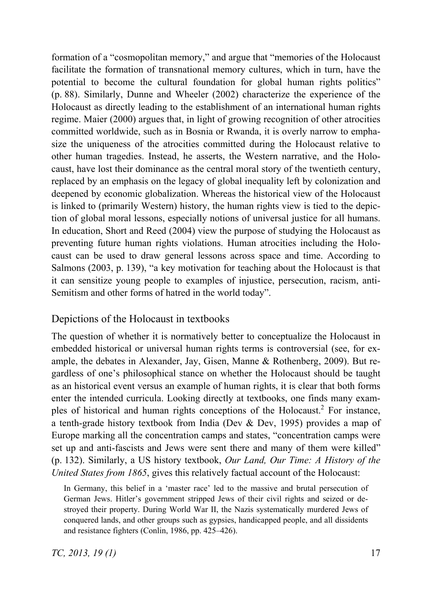formation of a "cosmopolitan memory," and argue that "memories of the Holocaust facilitate the formation of transnational memory cultures, which in turn, have the potential to become the cultural foundation for global human rights politics" (p. 88). Similarly, Dunne and Wheeler (2002) characterize the experience of the Holocaust as directly leading to the establishment of an international human rights regime. Maier (2000) argues that, in light of growing recognition of other atrocities committed worldwide, such as in Bosnia or Rwanda, it is overly narrow to emphasize the uniqueness of the atrocities committed during the Holocaust relative to other human tragedies. Instead, he asserts, the Western narrative, and the Holocaust, have lost their dominance as the central moral story of the twentieth century, replaced by an emphasis on the legacy of global inequality left by colonization and deepened by economic globalization. Whereas the historical view of the Holocaust is linked to (primarily Western) history, the human rights view is tied to the depiction of global moral lessons, especially notions of universal justice for all humans. In education, Short and Reed (2004) view the purpose of studying the Holocaust as preventing future human rights violations. Human atrocities including the Holocaust can be used to draw general lessons across space and time. According to Salmons (2003, p. 139), "a key motivation for teaching about the Holocaust is that it can sensitize young people to examples of injustice, persecution, racism, anti-Semitism and other forms of hatred in the world today".

# Depictions of the Holocaust in textbooks

The question of whether it is normatively better to conceptualize the Holocaust in embedded historical or universal human rights terms is controversial (see, for example, the debates in Alexander, Jay, Gisen, Manne & Rothenberg, 2009). But regardless of one's philosophical stance on whether the Holocaust should be taught as an historical event versus an example of human rights, it is clear that both forms enter the intended curricula. Looking directly at textbooks, one finds many examples of historical and human rights conceptions of the Holocaust.<sup>2</sup> For instance, a tenth-grade history textbook from India (Dev & Dev, 1995) provides a map of Europe marking all the concentration camps and states, "concentration camps were set up and anti-fascists and Jews were sent there and many of them were killed" (p. 132). Similarly, a US history textbook, *Our Land, Our Time: A History of the United States from 1865*, gives this relatively factual account of the Holocaust:

In Germany, this belief in a 'master race' led to the massive and brutal persecution of German Jews. Hitler's government stripped Jews of their civil rights and seized or destroyed their property. During World War II, the Nazis systematically murdered Jews of conquered lands, and other groups such as gypsies, handicapped people, and all dissidents and resistance fighters (Conlin, 1986, pp. 425–426).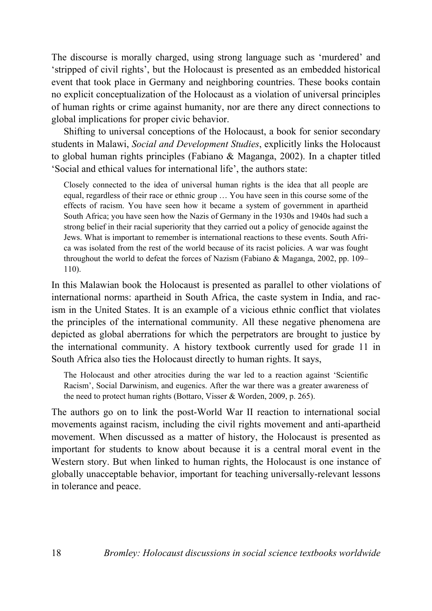The discourse is morally charged, using strong language such as 'murdered' and 'stripped of civil rights', but the Holocaust is presented as an embedded historical event that took place in Germany and neighboring countries. These books contain no explicit conceptualization of the Holocaust as a violation of universal principles of human rights or crime against humanity, nor are there any direct connections to global implications for proper civic behavior.

Shifting to universal conceptions of the Holocaust, a book for senior secondary students in Malawi, *Social and Development Studies*, explicitly links the Holocaust to global human rights principles (Fabiano & Maganga, 2002). In a chapter titled 'Social and ethical values for international life', the authors state:

Closely connected to the idea of universal human rights is the idea that all people are equal, regardless of their race or ethnic group … You have seen in this course some of the effects of racism. You have seen how it became a system of government in apartheid South Africa; you have seen how the Nazis of Germany in the 1930s and 1940s had such a strong belief in their racial superiority that they carried out a policy of genocide against the Jews. What is important to remember is international reactions to these events. South Africa was isolated from the rest of the world because of its racist policies. A war was fought throughout the world to defeat the forces of Nazism (Fabiano & Maganga, 2002, pp. 109– 110).

In this Malawian book the Holocaust is presented as parallel to other violations of international norms: apartheid in South Africa, the caste system in India, and racism in the United States. It is an example of a vicious ethnic conflict that violates the principles of the international community. All these negative phenomena are depicted as global aberrations for which the perpetrators are brought to justice by the international community. A history textbook currently used for grade 11 in South Africa also ties the Holocaust directly to human rights. It says,

The Holocaust and other atrocities during the war led to a reaction against 'Scientific Racism', Social Darwinism, and eugenics. After the war there was a greater awareness of the need to protect human rights (Bottaro, Visser & Worden, 2009, p. 265).

The authors go on to link the post-World War II reaction to international social movements against racism, including the civil rights movement and anti-apartheid movement. When discussed as a matter of history, the Holocaust is presented as important for students to know about because it is a central moral event in the Western story. But when linked to human rights, the Holocaust is one instance of globally unacceptable behavior, important for teaching universally-relevant lessons in tolerance and peace.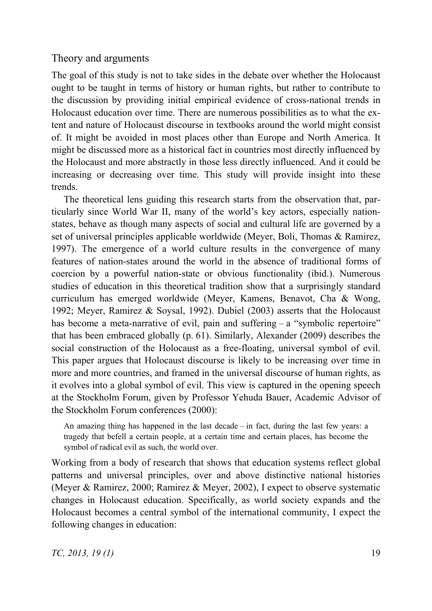### Theory and arguments

The goal of this study is not to take sides in the debate over whether the Holocaust ought to be taught in terms of history or human rights, but rather to contribute to the discussion by providing initial empirical evidence of cross-national trends in Holocaust education over time. There are numerous possibilities as to what the extent and nature of Holocaust discourse in textbooks around the world might consist of. It might be avoided in most places other than Europe and North America. It might be discussed more as a historical fact in countries most directly influenced by the Holocaust and more abstractly in those less directly influenced. And it could be increasing or decreasing over time. This study will provide insight into these trends.

The theoretical lens guiding this research starts from the observation that, particularly since World War II, many of the world's key actors, especially nationstates, behave as though many aspects of social and cultural life are governed by a set of universal principles applicable worldwide (Meyer, Boli, Thomas & Ramirez, 1997). The emergence of a world culture results in the convergence of many features of nation-states around the world in the absence of traditional forms of coercion by a powerful nation-state or obvious functionality (ibid.). Numerous studies of education in this theoretical tradition show that a surprisingly standard curriculum has emerged worldwide (Meyer, Kamens, Benavot, Cha & Wong, 1992; Meyer, Ramirez & Soysal, 1992). Dubiel (2003) asserts that the Holocaust has become a meta-narrative of evil, pain and suffering – a "symbolic repertoire" that has been embraced globally (p. 61). Similarly, Alexander (2009) describes the social construction of the Holocaust as a free-floating, universal symbol of evil. This paper argues that Holocaust discourse is likely to be increasing over time in more and more countries, and framed in the universal discourse of human rights, as it evolves into a global symbol of evil. This view is captured in the opening speech at the Stockholm Forum, given by Professor Yehuda Bauer, Academic Advisor of the Stockholm Forum conferences (2000):

An amazing thing has happened in the last decade – in fact, during the last few years: a tragedy that befell a certain people, at a certain time and certain places, has become the symbol of radical evil as such, the world over.

Working from a body of research that shows that education systems reflect global patterns and universal principles, over and above distinctive national histories (Meyer & Ramirez, 2000; Ramirez & Meyer, 2002), I expect to observe systematic changes in Holocaust education. Specifically, as world society expands and the Holocaust becomes a central symbol of the international community, I expect the following changes in education: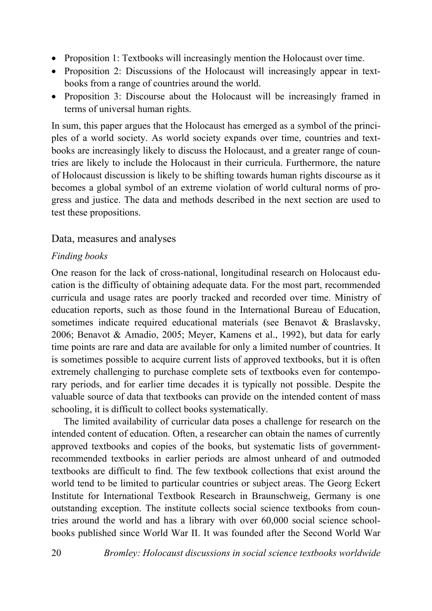- Proposition 1: Textbooks will increasingly mention the Holocaust over time.
- Proposition 2: Discussions of the Holocaust will increasingly appear in textbooks from a range of countries around the world.
- Proposition 3: Discourse about the Holocaust will be increasingly framed in terms of universal human rights.

In sum, this paper argues that the Holocaust has emerged as a symbol of the principles of a world society. As world society expands over time, countries and textbooks are increasingly likely to discuss the Holocaust, and a greater range of countries are likely to include the Holocaust in their curricula. Furthermore, the nature of Holocaust discussion is likely to be shifting towards human rights discourse as it becomes a global symbol of an extreme violation of world cultural norms of progress and justice. The data and methods described in the next section are used to test these propositions.

# Data, measures and analyses

## *Finding books*

One reason for the lack of cross-national, longitudinal research on Holocaust education is the difficulty of obtaining adequate data. For the most part, recommended curricula and usage rates are poorly tracked and recorded over time. Ministry of education reports, such as those found in the International Bureau of Education, sometimes indicate required educational materials (see Benavot & Braslavsky, 2006; Benavot & Amadio, 2005; Meyer, Kamens et al., 1992), but data for early time points are rare and data are available for only a limited number of countries. It is sometimes possible to acquire current lists of approved textbooks, but it is often extremely challenging to purchase complete sets of textbooks even for contemporary periods, and for earlier time decades it is typically not possible. Despite the valuable source of data that textbooks can provide on the intended content of mass schooling, it is difficult to collect books systematically.

The limited availability of curricular data poses a challenge for research on the intended content of education. Often, a researcher can obtain the names of currently approved textbooks and copies of the books, but systematic lists of governmentrecommended textbooks in earlier periods are almost unheard of and outmoded textbooks are difficult to find. The few textbook collections that exist around the world tend to be limited to particular countries or subject areas. The Georg Eckert Institute for International Textbook Research in Braunschweig, Germany is one outstanding exception. The institute collects social science textbooks from countries around the world and has a library with over 60,000 social science schoolbooks published since World War II. It was founded after the Second World War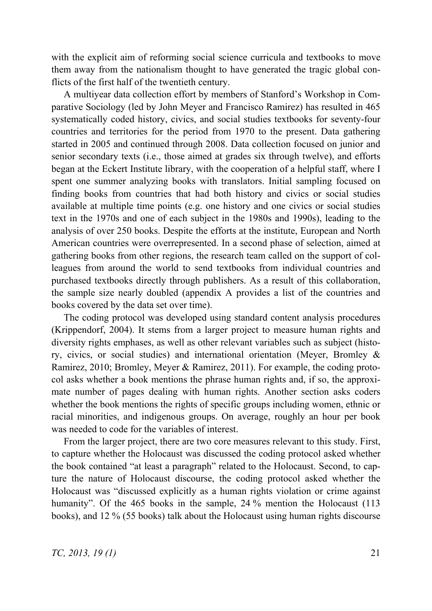with the explicit aim of reforming social science curricula and textbooks to move them away from the nationalism thought to have generated the tragic global conflicts of the first half of the twentieth century.

A multiyear data collection effort by members of Stanford's Workshop in Comparative Sociology (led by John Meyer and Francisco Ramirez) has resulted in 465 systematically coded history, civics, and social studies textbooks for seventy-four countries and territories for the period from 1970 to the present. Data gathering started in 2005 and continued through 2008. Data collection focused on junior and senior secondary texts (i.e., those aimed at grades six through twelve), and efforts began at the Eckert Institute library, with the cooperation of a helpful staff, where I spent one summer analyzing books with translators. Initial sampling focused on finding books from countries that had both history and civics or social studies available at multiple time points (e.g. one history and one civics or social studies text in the 1970s and one of each subject in the 1980s and 1990s), leading to the analysis of over 250 books. Despite the efforts at the institute, European and North American countries were overrepresented. In a second phase of selection, aimed at gathering books from other regions, the research team called on the support of colleagues from around the world to send textbooks from individual countries and purchased textbooks directly through publishers. As a result of this collaboration, the sample size nearly doubled (appendix A provides a list of the countries and books covered by the data set over time).

The coding protocol was developed using standard content analysis procedures (Krippendorf, 2004). It stems from a larger project to measure human rights and diversity rights emphases, as well as other relevant variables such as subject (history, civics, or social studies) and international orientation (Meyer, Bromley & Ramirez, 2010; Bromley, Meyer & Ramirez, 2011). For example, the coding protocol asks whether a book mentions the phrase human rights and, if so, the approximate number of pages dealing with human rights. Another section asks coders whether the book mentions the rights of specific groups including women, ethnic or racial minorities, and indigenous groups. On average, roughly an hour per book was needed to code for the variables of interest.

From the larger project, there are two core measures relevant to this study. First, to capture whether the Holocaust was discussed the coding protocol asked whether the book contained "at least a paragraph" related to the Holocaust. Second, to capture the nature of Holocaust discourse, the coding protocol asked whether the Holocaust was "discussed explicitly as a human rights violation or crime against humanity". Of the 465 books in the sample, 24 % mention the Holocaust (113) books), and 12 % (55 books) talk about the Holocaust using human rights discourse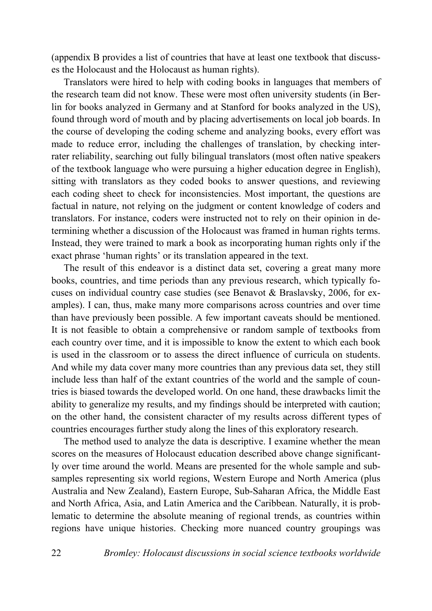(appendix B provides a list of countries that have at least one textbook that discusses the Holocaust and the Holocaust as human rights).

Translators were hired to help with coding books in languages that members of the research team did not know. These were most often university students (in Berlin for books analyzed in Germany and at Stanford for books analyzed in the US), found through word of mouth and by placing advertisements on local job boards. In the course of developing the coding scheme and analyzing books, every effort was made to reduce error, including the challenges of translation, by checking interrater reliability, searching out fully bilingual translators (most often native speakers of the textbook language who were pursuing a higher education degree in English), sitting with translators as they coded books to answer questions, and reviewing each coding sheet to check for inconsistencies. Most important, the questions are factual in nature, not relying on the judgment or content knowledge of coders and translators. For instance, coders were instructed not to rely on their opinion in determining whether a discussion of the Holocaust was framed in human rights terms. Instead, they were trained to mark a book as incorporating human rights only if the exact phrase 'human rights' or its translation appeared in the text.

The result of this endeavor is a distinct data set, covering a great many more books, countries, and time periods than any previous research, which typically focuses on individual country case studies (see Benavot & Braslavsky, 2006, for examples). I can, thus, make many more comparisons across countries and over time than have previously been possible. A few important caveats should be mentioned. It is not feasible to obtain a comprehensive or random sample of textbooks from each country over time, and it is impossible to know the extent to which each book is used in the classroom or to assess the direct influence of curricula on students. And while my data cover many more countries than any previous data set, they still include less than half of the extant countries of the world and the sample of countries is biased towards the developed world. On one hand, these drawbacks limit the ability to generalize my results, and my findings should be interpreted with caution; on the other hand, the consistent character of my results across different types of countries encourages further study along the lines of this exploratory research.

The method used to analyze the data is descriptive. I examine whether the mean scores on the measures of Holocaust education described above change significantly over time around the world. Means are presented for the whole sample and subsamples representing six world regions, Western Europe and North America (plus Australia and New Zealand), Eastern Europe, Sub-Saharan Africa, the Middle East and North Africa, Asia, and Latin America and the Caribbean. Naturally, it is problematic to determine the absolute meaning of regional trends, as countries within regions have unique histories. Checking more nuanced country groupings was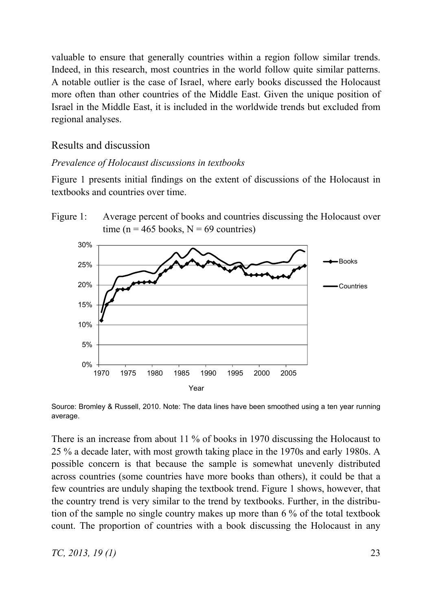valuable to ensure that generally countries within a region follow similar trends. Indeed, in this research, most countries in the world follow quite similar patterns. A notable outlier is the case of Israel, where early books discussed the Holocaust more often than other countries of the Middle East. Given the unique position of Israel in the Middle East, it is included in the worldwide trends but excluded from regional analyses.

# Results and discussion

### *Prevalence of Holocaust discussions in textbooks*

Figure 1 presents initial findings on the extent of discussions of the Holocaust in textbooks and countries over time.





Source: Bromley & Russell, 2010. Note: The data lines have been smoothed using a ten year running average.

There is an increase from about 11 % of books in 1970 discussing the Holocaust to 25 % a decade later, with most growth taking place in the 1970s and early 1980s. A possible concern is that because the sample is somewhat unevenly distributed across countries (some countries have more books than others), it could be that a few countries are unduly shaping the textbook trend. Figure 1 shows, however, that the country trend is very similar to the trend by textbooks. Further, in the distribution of the sample no single country makes up more than 6 % of the total textbook count. The proportion of countries with a book discussing the Holocaust in any

$$
TC, 2013, 19(1) \t\t\t\t\t\t23
$$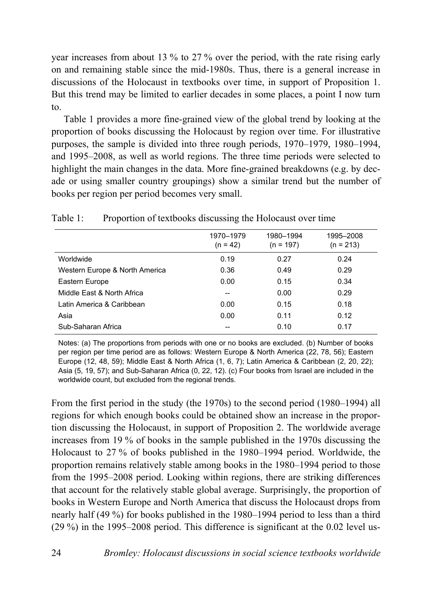year increases from about 13 % to 27 % over the period, with the rate rising early on and remaining stable since the mid-1980s. Thus, there is a general increase in discussions of the Holocaust in textbooks over time, in support of Proposition 1. But this trend may be limited to earlier decades in some places, a point I now turn to.

Table 1 provides a more fine-grained view of the global trend by looking at the proportion of books discussing the Holocaust by region over time. For illustrative purposes, the sample is divided into three rough periods, 1970–1979, 1980–1994, and 1995–2008, as well as world regions. The three time periods were selected to highlight the main changes in the data. More fine-grained breakdowns (e.g. by decade or using smaller country groupings) show a similar trend but the number of books per region per period becomes very small.

|                                | 1970–1979<br>$(n = 42)$ | 1980-1994<br>$(n = 197)$ | 1995-2008<br>$(n = 213)$ |
|--------------------------------|-------------------------|--------------------------|--------------------------|
| Worldwide                      | 0.19                    | 0.27                     | 0.24                     |
| Western Europe & North America | 0.36                    | 0.49                     | 0.29                     |
| Eastern Europe                 | 0.00                    | 0.15                     | 0.34                     |
| Middle East & North Africa     | --                      | 0.00                     | 0.29                     |
| Latin America & Caribbean      | 0.00                    | 0.15                     | 0.18                     |
| Asia                           | 0.00                    | 0.11                     | 0.12                     |
| Sub-Saharan Africa             | $- -$                   | 0.10                     | 0.17                     |

Table 1: Proportion of textbooks discussing the Holocaust over time

Notes: (a) The proportions from periods with one or no books are excluded. (b) Number of books per region per time period are as follows: Western Europe & North America (22, 78, 56); Eastern Europe (12, 48, 59); Middle East & North Africa (1, 6, 7); Latin America & Caribbean (2, 20, 22); Asia (5, 19, 57); and Sub-Saharan Africa (0, 22, 12). (c) Four books from Israel are included in the worldwide count, but excluded from the regional trends.

From the first period in the study (the 1970s) to the second period (1980–1994) all regions for which enough books could be obtained show an increase in the proportion discussing the Holocaust, in support of Proposition 2. The worldwide average increases from 19 % of books in the sample published in the 1970s discussing the Holocaust to 27 % of books published in the 1980–1994 period. Worldwide, the proportion remains relatively stable among books in the 1980–1994 period to those from the 1995–2008 period. Looking within regions, there are striking differences that account for the relatively stable global average. Surprisingly, the proportion of books in Western Europe and North America that discuss the Holocaust drops from nearly half (49 %) for books published in the 1980–1994 period to less than a third (29 %) in the 1995–2008 period. This difference is significant at the 0.02 level us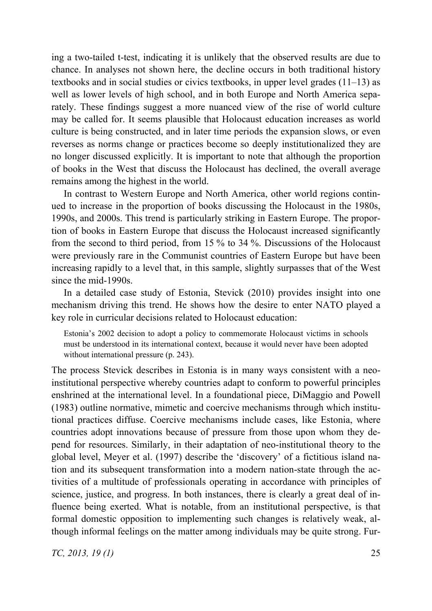ing a two-tailed t-test, indicating it is unlikely that the observed results are due to chance. In analyses not shown here, the decline occurs in both traditional history textbooks and in social studies or civics textbooks, in upper level grades (11–13) as well as lower levels of high school, and in both Europe and North America separately. These findings suggest a more nuanced view of the rise of world culture may be called for. It seems plausible that Holocaust education increases as world culture is being constructed, and in later time periods the expansion slows, or even reverses as norms change or practices become so deeply institutionalized they are no longer discussed explicitly. It is important to note that although the proportion of books in the West that discuss the Holocaust has declined, the overall average remains among the highest in the world.

In contrast to Western Europe and North America, other world regions continued to increase in the proportion of books discussing the Holocaust in the 1980s, 1990s, and 2000s. This trend is particularly striking in Eastern Europe. The proportion of books in Eastern Europe that discuss the Holocaust increased significantly from the second to third period, from 15 % to 34 %. Discussions of the Holocaust were previously rare in the Communist countries of Eastern Europe but have been increasing rapidly to a level that, in this sample, slightly surpasses that of the West since the mid-1990s.

In a detailed case study of Estonia, Stevick (2010) provides insight into one mechanism driving this trend. He shows how the desire to enter NATO played a key role in curricular decisions related to Holocaust education:

Estonia's 2002 decision to adopt a policy to commemorate Holocaust victims in schools must be understood in its international context, because it would never have been adopted without international pressure (p. 243).

The process Stevick describes in Estonia is in many ways consistent with a neoinstitutional perspective whereby countries adapt to conform to powerful principles enshrined at the international level. In a foundational piece, DiMaggio and Powell (1983) outline normative, mimetic and coercive mechanisms through which institutional practices diffuse. Coercive mechanisms include cases, like Estonia, where countries adopt innovations because of pressure from those upon whom they depend for resources. Similarly, in their adaptation of neo-institutional theory to the global level, Meyer et al. (1997) describe the 'discovery' of a fictitious island nation and its subsequent transformation into a modern nation-state through the activities of a multitude of professionals operating in accordance with principles of science, justice, and progress. In both instances, there is clearly a great deal of influence being exerted. What is notable, from an institutional perspective, is that formal domestic opposition to implementing such changes is relatively weak, although informal feelings on the matter among individuals may be quite strong. Fur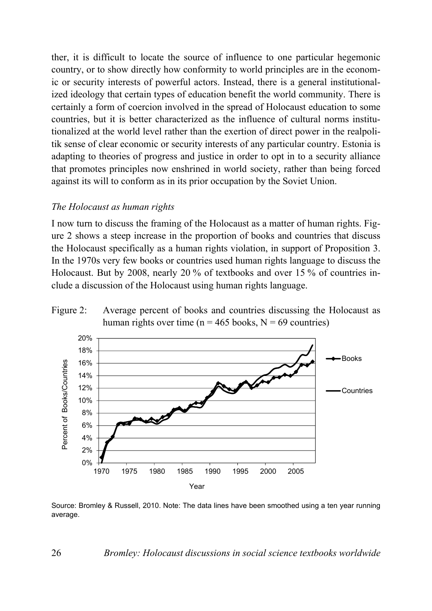ther, it is difficult to locate the source of influence to one particular hegemonic country, or to show directly how conformity to world principles are in the economic or security interests of powerful actors. Instead, there is a general institutionalized ideology that certain types of education benefit the world community. There is certainly a form of coercion involved in the spread of Holocaust education to some countries, but it is better characterized as the influence of cultural norms institutionalized at the world level rather than the exertion of direct power in the realpolitik sense of clear economic or security interests of any particular country. Estonia is adapting to theories of progress and justice in order to opt in to a security alliance that promotes principles now enshrined in world society, rather than being forced against its will to conform as in its prior occupation by the Soviet Union.

#### *The Holocaust as human rights*

I now turn to discuss the framing of the Holocaust as a matter of human rights. Figure 2 shows a steep increase in the proportion of books and countries that discuss the Holocaust specifically as a human rights violation, in support of Proposition 3. In the 1970s very few books or countries used human rights language to discuss the Holocaust. But by 2008, nearly 20 % of textbooks and over 15 % of countries include a discussion of the Holocaust using human rights language.





Source: Bromley & Russell, 2010. Note: The data lines have been smoothed using a ten year running average.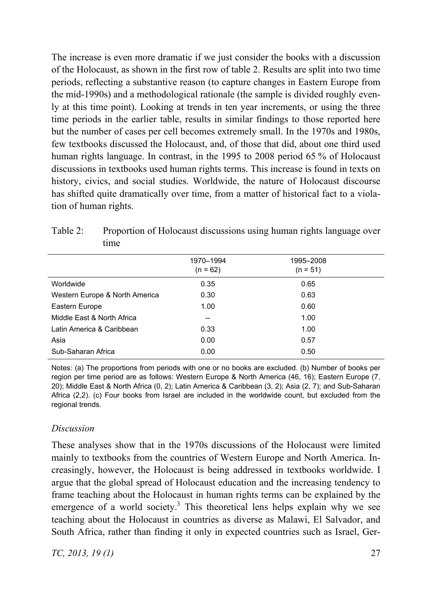The increase is even more dramatic if we just consider the books with a discussion of the Holocaust, as shown in the first row of table 2. Results are split into two time periods, reflecting a substantive reason (to capture changes in Eastern Europe from the mid-1990s) and a methodological rationale (the sample is divided roughly evenly at this time point). Looking at trends in ten year increments, or using the three time periods in the earlier table, results in similar findings to those reported here but the number of cases per cell becomes extremely small. In the 1970s and 1980s, few textbooks discussed the Holocaust, and, of those that did, about one third used human rights language. In contrast, in the 1995 to 2008 period 65 % of Holocaust discussions in textbooks used human rights terms. This increase is found in texts on history, civics, and social studies. Worldwide, the nature of Holocaust discourse has shifted quite dramatically over time, from a matter of historical fact to a violation of human rights.

|                                | 1970-1994<br>$(n = 62)$ | 1995-2008<br>$(n = 51)$ |  |
|--------------------------------|-------------------------|-------------------------|--|
| Worldwide                      | 0.35                    | 0.65                    |  |
| Western Europe & North America | 0.30                    | 0.63                    |  |
| Eastern Europe                 | 1.00                    | 0.60                    |  |
| Middle East & North Africa     | --                      | 1.00                    |  |
| Latin America & Caribbean      | 0.33                    | 1.00                    |  |
| Asia                           | 0.00                    | 0.57                    |  |
| Sub-Saharan Africa             | 0.00                    | 0.50                    |  |
|                                |                         |                         |  |

Table 2: Proportion of Holocaust discussions using human rights language over time

Notes: (a) The proportions from periods with one or no books are excluded. (b) Number of books per region per time period are as follows: Western Europe & North America (46, 16); Eastern Europe (7, 20); Middle East & North Africa (0, 2); Latin America & Caribbean (3, 2); Asia (2, 7); and Sub-Saharan Africa (2,2). (c) Four books from Israel are included in the worldwide count, but excluded from the regional trends.

### *Discussion*

These analyses show that in the 1970s discussions of the Holocaust were limited mainly to textbooks from the countries of Western Europe and North America. Increasingly, however, the Holocaust is being addressed in textbooks worldwide. I argue that the global spread of Holocaust education and the increasing tendency to frame teaching about the Holocaust in human rights terms can be explained by the emergence of a world society.<sup>3</sup> This theoretical lens helps explain why we see teaching about the Holocaust in countries as diverse as Malawi, El Salvador, and South Africa, rather than finding it only in expected countries such as Israel, Ger-

$$
TC, 2013, 19(1) \t\t\t\t\t 27
$$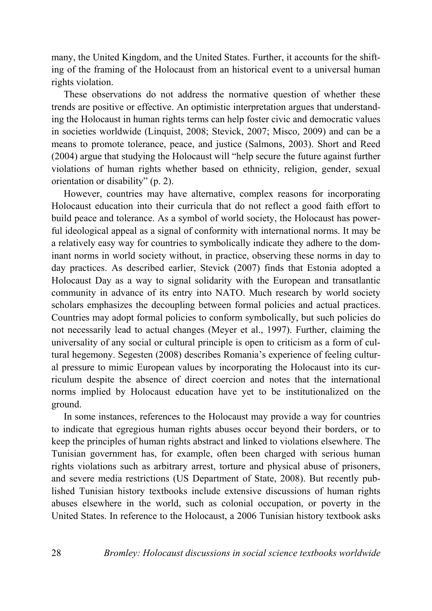many, the United Kingdom, and the United States. Further, it accounts for the shifting of the framing of the Holocaust from an historical event to a universal human rights violation.

These observations do not address the normative question of whether these trends are positive or effective. An optimistic interpretation argues that understanding the Holocaust in human rights terms can help foster civic and democratic values in societies worldwide (Linquist, 2008; Stevick, 2007; Misco, 2009) and can be a means to promote tolerance, peace, and justice (Salmons, 2003). Short and Reed (2004) argue that studying the Holocaust will "help secure the future against further violations of human rights whether based on ethnicity, religion, gender, sexual orientation or disability" (p. 2).

However, countries may have alternative, complex reasons for incorporating Holocaust education into their curricula that do not reflect a good faith effort to build peace and tolerance. As a symbol of world society, the Holocaust has powerful ideological appeal as a signal of conformity with international norms. It may be a relatively easy way for countries to symbolically indicate they adhere to the dominant norms in world society without, in practice, observing these norms in day to day practices. As described earlier, Stevick (2007) finds that Estonia adopted a Holocaust Day as a way to signal solidarity with the European and transatlantic community in advance of its entry into NATO. Much research by world society scholars emphasizes the decoupling between formal policies and actual practices. Countries may adopt formal policies to conform symbolically, but such policies do not necessarily lead to actual changes (Meyer et al., 1997). Further, claiming the universality of any social or cultural principle is open to criticism as a form of cultural hegemony. Segesten (2008) describes Romania's experience of feeling cultural pressure to mimic European values by incorporating the Holocaust into its curriculum despite the absence of direct coercion and notes that the international norms implied by Holocaust education have yet to be institutionalized on the ground.

In some instances, references to the Holocaust may provide a way for countries to indicate that egregious human rights abuses occur beyond their borders, or to keep the principles of human rights abstract and linked to violations elsewhere. The Tunisian government has, for example, often been charged with serious human rights violations such as arbitrary arrest, torture and physical abuse of prisoners, and severe media restrictions (US Department of State, 2008). But recently published Tunisian history textbooks include extensive discussions of human rights abuses elsewhere in the world, such as colonial occupation, or poverty in the United States. In reference to the Holocaust, a 2006 Tunisian history textbook asks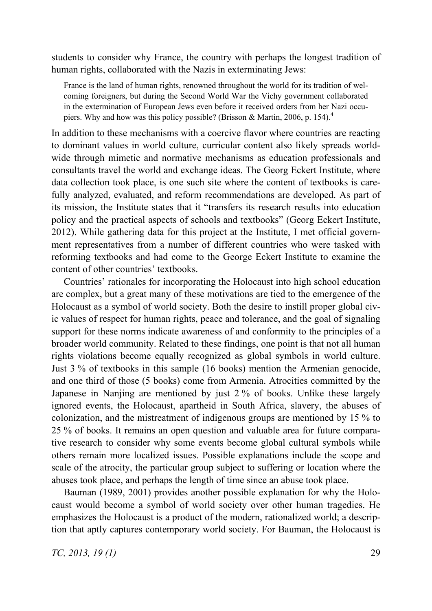students to consider why France, the country with perhaps the longest tradition of human rights, collaborated with the Nazis in exterminating Jews:

France is the land of human rights, renowned throughout the world for its tradition of welcoming foreigners, but during the Second World War the Vichy government collaborated in the extermination of European Jews even before it received orders from her Nazi occupiers. Why and how was this policy possible? (Brisson & Martin, 2006, p. 154).<sup>4</sup>

In addition to these mechanisms with a coercive flavor where countries are reacting to dominant values in world culture, curricular content also likely spreads worldwide through mimetic and normative mechanisms as education professionals and consultants travel the world and exchange ideas. The Georg Eckert Institute, where data collection took place, is one such site where the content of textbooks is carefully analyzed, evaluated, and reform recommendations are developed. As part of its mission, the Institute states that it "transfers its research results into education policy and the practical aspects of schools and textbooks" (Georg Eckert Institute, 2012). While gathering data for this project at the Institute, I met official government representatives from a number of different countries who were tasked with reforming textbooks and had come to the George Eckert Institute to examine the content of other countries' textbooks.

Countries' rationales for incorporating the Holocaust into high school education are complex, but a great many of these motivations are tied to the emergence of the Holocaust as a symbol of world society. Both the desire to instill proper global civic values of respect for human rights, peace and tolerance, and the goal of signaling support for these norms indicate awareness of and conformity to the principles of a broader world community. Related to these findings, one point is that not all human rights violations become equally recognized as global symbols in world culture. Just 3 % of textbooks in this sample (16 books) mention the Armenian genocide, and one third of those (5 books) come from Armenia. Atrocities committed by the Japanese in Nanjing are mentioned by just 2 % of books. Unlike these largely ignored events, the Holocaust, apartheid in South Africa, slavery, the abuses of colonization, and the mistreatment of indigenous groups are mentioned by 15 % to 25 % of books. It remains an open question and valuable area for future comparative research to consider why some events become global cultural symbols while others remain more localized issues. Possible explanations include the scope and scale of the atrocity, the particular group subject to suffering or location where the abuses took place, and perhaps the length of time since an abuse took place.

Bauman (1989, 2001) provides another possible explanation for why the Holocaust would become a symbol of world society over other human tragedies. He emphasizes the Holocaust is a product of the modern, rationalized world; a description that aptly captures contemporary world society. For Bauman, the Holocaust is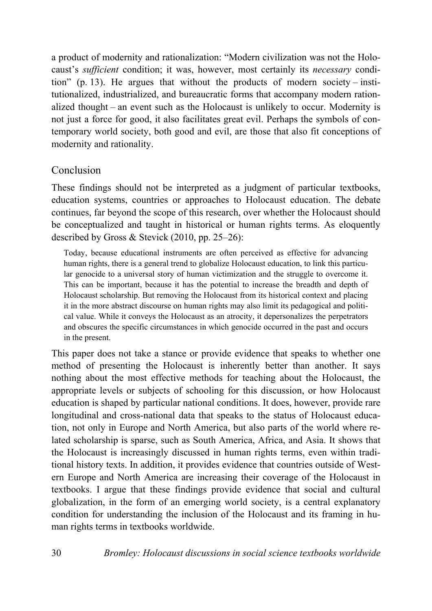a product of modernity and rationalization: "Modern civilization was not the Holocaust's *sufficient* condition; it was, however, most certainly its *necessary* condition" (p. 13). He argues that without the products of modern society – institutionalized, industrialized, and bureaucratic forms that accompany modern rationalized thought – an event such as the Holocaust is unlikely to occur. Modernity is not just a force for good, it also facilitates great evil. Perhaps the symbols of contemporary world society, both good and evil, are those that also fit conceptions of modernity and rationality.

# Conclusion

These findings should not be interpreted as a judgment of particular textbooks, education systems, countries or approaches to Holocaust education. The debate continues, far beyond the scope of this research, over whether the Holocaust should be conceptualized and taught in historical or human rights terms. As eloquently described by Gross & Stevick (2010, pp. 25–26):

Today, because educational instruments are often perceived as effective for advancing human rights, there is a general trend to globalize Holocaust education, to link this particular genocide to a universal story of human victimization and the struggle to overcome it. This can be important, because it has the potential to increase the breadth and depth of Holocaust scholarship. But removing the Holocaust from its historical context and placing it in the more abstract discourse on human rights may also limit its pedagogical and political value. While it conveys the Holocaust as an atrocity, it depersonalizes the perpetrators and obscures the specific circumstances in which genocide occurred in the past and occurs in the present.

This paper does not take a stance or provide evidence that speaks to whether one method of presenting the Holocaust is inherently better than another. It says nothing about the most effective methods for teaching about the Holocaust, the appropriate levels or subjects of schooling for this discussion, or how Holocaust education is shaped by particular national conditions. It does, however, provide rare longitudinal and cross-national data that speaks to the status of Holocaust education, not only in Europe and North America, but also parts of the world where related scholarship is sparse, such as South America, Africa, and Asia. It shows that the Holocaust is increasingly discussed in human rights terms, even within traditional history texts. In addition, it provides evidence that countries outside of Western Europe and North America are increasing their coverage of the Holocaust in textbooks. I argue that these findings provide evidence that social and cultural globalization, in the form of an emerging world society, is a central explanatory condition for understanding the inclusion of the Holocaust and its framing in human rights terms in textbooks worldwide.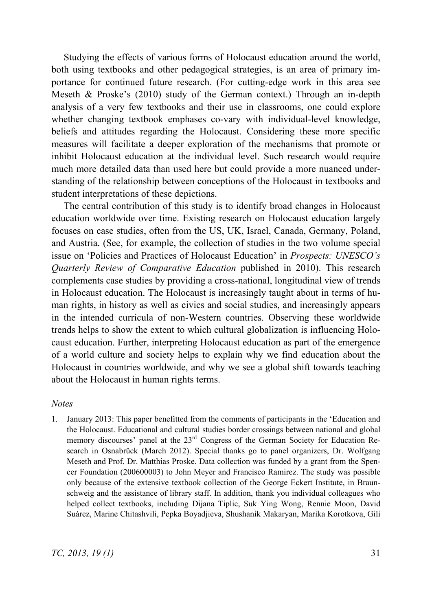Studying the effects of various forms of Holocaust education around the world, both using textbooks and other pedagogical strategies, is an area of primary importance for continued future research. (For cutting-edge work in this area see Meseth & Proske's (2010) study of the German context.) Through an in-depth analysis of a very few textbooks and their use in classrooms, one could explore whether changing textbook emphases co-vary with individual-level knowledge, beliefs and attitudes regarding the Holocaust. Considering these more specific measures will facilitate a deeper exploration of the mechanisms that promote or inhibit Holocaust education at the individual level. Such research would require much more detailed data than used here but could provide a more nuanced understanding of the relationship between conceptions of the Holocaust in textbooks and student interpretations of these depictions.

The central contribution of this study is to identify broad changes in Holocaust education worldwide over time. Existing research on Holocaust education largely focuses on case studies, often from the US, UK, Israel, Canada, Germany, Poland, and Austria. (See, for example, the collection of studies in the two volume special issue on 'Policies and Practices of Holocaust Education' in *Prospects: UNESCO's Quarterly Review of Comparative Education* published in 2010). This research complements case studies by providing a cross-national, longitudinal view of trends in Holocaust education. The Holocaust is increasingly taught about in terms of human rights, in history as well as civics and social studies, and increasingly appears in the intended curricula of non-Western countries. Observing these worldwide trends helps to show the extent to which cultural globalization is influencing Holocaust education. Further, interpreting Holocaust education as part of the emergence of a world culture and society helps to explain why we find education about the Holocaust in countries worldwide, and why we see a global shift towards teaching about the Holocaust in human rights terms.

#### *Notes*

1. January 2013: This paper benefitted from the comments of participants in the 'Education and the Holocaust. Educational and cultural studies border crossings between national and global memory discourses' panel at the 23rd Congress of the German Society for Education Research in Osnabrück (March 2012). Special thanks go to panel organizers, Dr. Wolfgang Meseth and Prof. Dr. Matthias Proske. Data collection was funded by a grant from the Spencer Foundation (200600003) to John Meyer and Francisco Ramirez. The study was possible only because of the extensive textbook collection of the George Eckert Institute, in Braunschweig and the assistance of library staff. In addition, thank you individual colleagues who helped collect textbooks, including Dijana Tiplic, Suk Ying Wong, Rennie Moon, David Suárez, Marine Chitashvili, Pepka Boyadjieva, Shushanik Makaryan, Marika Korotkova, Gili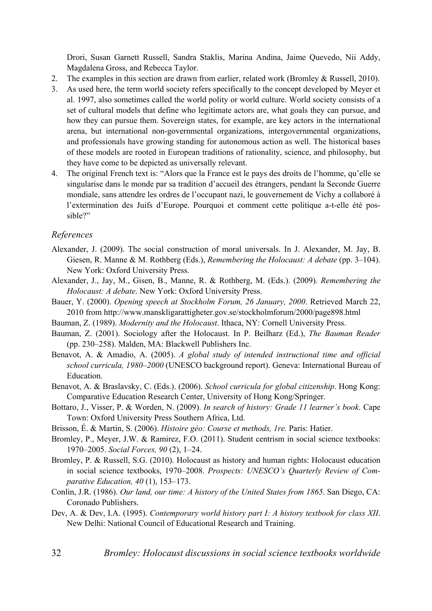Drori, Susan Garnett Russell, Sandra Staklis, Marina Andina, Jaime Quevedo, Nii Addy, Magdalena Gross, and Rebecca Taylor.

- 2. The examples in this section are drawn from earlier, related work (Bromley & Russell, 2010).
- 3. As used here, the term world society refers specifically to the concept developed by Meyer et al. 1997, also sometimes called the world polity or world culture. World society consists of a set of cultural models that define who legitimate actors are, what goals they can pursue, and how they can pursue them. Sovereign states, for example, are key actors in the international arena, but international non-governmental organizations, intergovernmental organizations, and professionals have growing standing for autonomous action as well. The historical bases of these models are rooted in European traditions of rationality, science, and philosophy, but they have come to be depicted as universally relevant.
- 4. The original French text is: "Alors que la France est le pays des droits de l'homme, qu'elle se singularise dans le monde par sa tradition d'accueil des étrangers, pendant la Seconde Guerre mondiale, sans attendre les ordres de l'occupant nazi, le gouvernement de Vichy a collaboré à l'extermination des Juifs d'Europe. Pourquoi et comment cette politique a-t-elle été possible?"

#### *References*

- Alexander, J. (2009). The social construction of moral universals. In J. Alexander, M. Jay, B. Giesen, R. Manne & M. Rothberg (Eds.), *Remembering the Holocaust: A debate* (pp. 3–104). New York: Oxford University Press.
- Alexander, J., Jay, M., Gisen, B., Manne, R. & Rothberg, M. (Eds.). (2009). *Remembering the Holocaust: A debate*. New York: Oxford University Press.
- Bauer, Y. (2000). *Opening speech at Stockholm Forum, 26 January, 2000*. Retrieved March 22, 2010 from http://www.manskligarattigheter.gov.se/stockholmforum/2000/page898.html
- Bauman, Z. (1989). *Modernity and the Holocaust*. Ithaca, NY: Cornell University Press.
- Bauman, Z. (2001). Sociology after the Holocaust. In P. Beilharz (Ed.), *The Bauman Reader* (pp. 230–258). Malden, MA: Blackwell Publishers Inc.
- Benavot, A. & Amadio, A. (2005). *A global study of intended instructional time and official school curricula, 1980–2000* (UNESCO background report). Geneva: International Bureau of Education.
- Benavot, A. & Braslavsky, C. (Eds.). (2006). *School curricula for global citizenship*. Hong Kong: Comparative Education Research Center, University of Hong Kong/Springer.
- Bottaro, J., Visser, P. & Worden, N. (2009). *In search of history: Grade 11 learner's book*. Cape Town: Oxford University Press Southern Africa, Ltd.
- Brisson, É. & Martin, S. (2006). *Histoire géo: Course et methods, 1re.* Paris: Hatier.
- Bromley, P., Meyer, J.W. & Ramirez, F.O. (2011). Student centrism in social science textbooks: 1970–2005. *Social Forces, 90* (2), 1–24.
- Bromley, P. & Russell, S.G. (2010). Holocaust as history and human rights: Holocaust education in social science textbooks, 1970–2008. *Prospects: UNESCO's Quarterly Review of Comparative Education, 40* (1), 153–173.
- Conlin, J.R. (1986). *Our land, our time: A history of the United States from 1865*. San Diego, CA: Coronado Publishers.
- Dev, A. & Dev, I.A. (1995). *Contemporary world history part I: A history textbook for class XII*. New Delhi: National Council of Educational Research and Training.
- 32 *Bromley: Holocaust discussions in social science textbooks worldwide*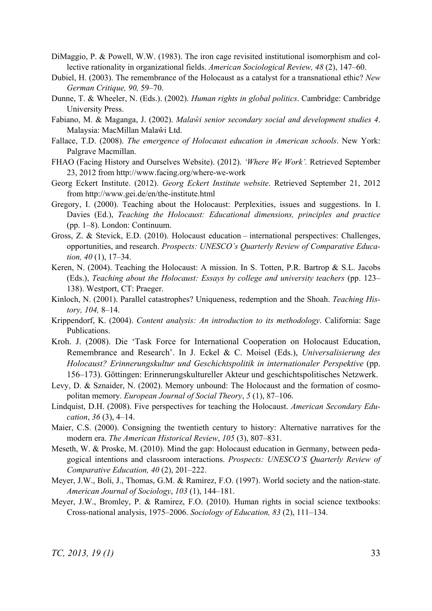- DiMaggio, P. & Powell, W.W. (1983). The iron cage revisited institutional isomorphism and collective rationality in organizational fields. *American Sociological Review, 48* (2), 147–60.
- Dubiel, H. (2003). The remembrance of the Holocaust as a catalyst for a transnational ethic? *New German Critique, 90,* 59–70.
- Dunne, T. & Wheeler, N. (Eds.). (2002). *Human rights in global politics*. Cambridge: Cambridge University Press.
- Fabiano, M. & Maganga, J. (2002). *Malaŵi senior secondary social and development studies 4*. Malaysia: MacMillan Malaŵi Ltd.
- Fallace, T.D. (2008). *The emergence of Holocaust education in American schools*. New York: Palgrave Macmillan.
- FHAO (Facing History and Ourselves Website). (2012). *'Where We Work'.* Retrieved September 23, 2012 from http://www.facing.org/where-we-work
- Georg Eckert Institute. (2012). *Georg Eckert Institute website*. Retrieved September 21, 2012 from http://www.gei.de/en/the-institute.html
- Gregory, I. (2000). Teaching about the Holocaust: Perplexities, issues and suggestions. In I. Davies (Ed.), *Teaching the Holocaust: Educational dimensions, principles and practice*  (pp. 1–8). London: Continuum.
- Gross, Z. & Stevick, E.D. (2010). Holocaust education international perspectives: Challenges, opportunities, and research. *Prospects: UNESCO's Quarterly Review of Comparative Education, 40* (1), 17–34.
- Keren, N. (2004). Teaching the Holocaust: A mission. In S. Totten, P.R. Bartrop & S.L. Jacobs (Eds.), *Teaching about the Holocaust: Essays by college and university teachers* (pp. 123– 138). Westport, CT: Praeger.
- Kinloch, N. (2001). Parallel catastrophes? Uniqueness, redemption and the Shoah. *Teaching History, 104,* 8–14.
- Krippendorf, K. (2004). *Content analysis: An introduction to its methodology*. California: Sage Publications.
- Kroh. J. (2008). Die 'Task Force for International Cooperation on Holocaust Education, Remembrance and Research'. In J. Eckel & C. Moisel (Eds.), *Universalisierung des Holocaust? Erinnerungskultur und Geschichtspolitik in internationaler Perspektive* (pp. 156–173). Göttingen: Erinnerungskultureller Akteur und geschichtspolitisches Netzwerk.
- Levy, D. & Sznaider, N. (2002). Memory unbound: The Holocaust and the formation of cosmopolitan memory. *European Journal of Social Theory*, *5* (1), 87–106.
- Lindquist, D.H. (2008). Five perspectives for teaching the Holocaust. *American Secondary Education*, *36* (3), 4–14.
- Maier, C.S. (2000). Consigning the twentieth century to history: Alternative narratives for the modern era. *The American Historical Review*, *105* (3), 807–831.
- Meseth, W. & Proske, M. (2010). Mind the gap: Holocaust education in Germany, between pedagogical intentions and classroom interactions. *Prospects: UNESCO'S Quarterly Review of Comparative Education, 40* (2), 201–222.
- Meyer, J.W., Boli, J., Thomas, G.M. & Ramirez, F.O. (1997). World society and the nation-state. *American Journal of Sociology*, *103* (1), 144–181.
- Meyer, J.W., Bromley, P. & Ramirez, F.O. (2010). Human rights in social science textbooks: Cross-national analysis, 1975–2006. *Sociology of Education, 83* (2), 111–134.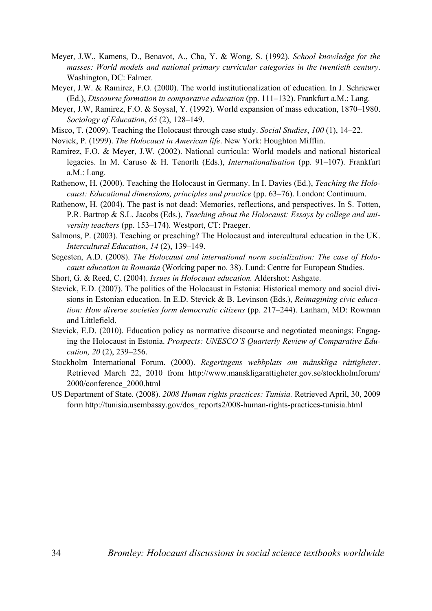- Meyer, J.W., Kamens, D., Benavot, A., Cha, Y. & Wong, S. (1992). *School knowledge for the masses: World models and national primary curricular categories in the twentieth century*. Washington, DC: Falmer.
- Meyer, J.W. & Ramirez, F.O. (2000). The world institutionalization of education. In J. Schriewer (Ed.), *Discourse formation in comparative education* (pp. 111–132). Frankfurt a.M.: Lang.
- Meyer, J.W, Ramirez, F.O. & Soysal, Y. (1992). World expansion of mass education, 1870–1980. *Sociology of Education*, *65* (2), 128–149.
- Misco, T. (2009). Teaching the Holocaust through case study. *Social Studies*, *100* (1), 14–22.
- Novick, P. (1999). *The Holocaust in American life*. New York: Houghton Mifflin.
- Ramirez, F.O. & Meyer, J.W. (2002). National curricula: World models and national historical legacies. In M. Caruso & H. Tenorth (Eds.), *Internationalisation* (pp. 91–107). Frankfurt a.M.: Lang.
- Rathenow, H. (2000). Teaching the Holocaust in Germany. In I. Davies (Ed.), *Teaching the Holocaust: Educational dimensions, principles and practice* (pp. 63–76). London: Continuum.
- Rathenow, H. (2004). The past is not dead: Memories, reflections, and perspectives. In S. Totten, P.R. Bartrop & S.L. Jacobs (Eds.), *Teaching about the Holocaust: Essays by college and university teachers* (pp. 153–174). Westport, CT: Praeger.
- Salmons, P. (2003). Teaching or preaching? The Holocaust and intercultural education in the UK. *Intercultural Education*, *14* (2), 139–149.
- Segesten, A.D. (2008). *The Holocaust and international norm socialization: The case of Holocaust education in Romania* (Working paper no. 38). Lund: Centre for European Studies.
- Short, G. & Reed, C. (2004). *Issues in Holocaust education.* Aldershot: Ashgate.
- Stevick, E.D. (2007). The politics of the Holocaust in Estonia: Historical memory and social divisions in Estonian education. In E.D. Stevick & B. Levinson (Eds.), *Reimagining civic education: How diverse societies form democratic citizens* (pp. 217–244). Lanham, MD: Rowman and Littlefield.
- Stevick, E.D. (2010). Education policy as normative discourse and negotiated meanings: Engaging the Holocaust in Estonia. *Prospects: UNESCO'S Quarterly Review of Comparative Education, 20* (2), 239–256.
- Stockholm International Forum. (2000). *Regeringens webbplats om mänskliga rättigheter*. Retrieved March 22, 2010 from http://www.manskligarattigheter.gov.se/stockholmforum/ 2000/conference\_2000.html
- US Department of State. (2008). *2008 Human rights practices: Tunisia.* Retrieved April, 30, 2009 form http://tunisia.usembassy.gov/dos\_reports2/008-human-rights-practices-tunisia.html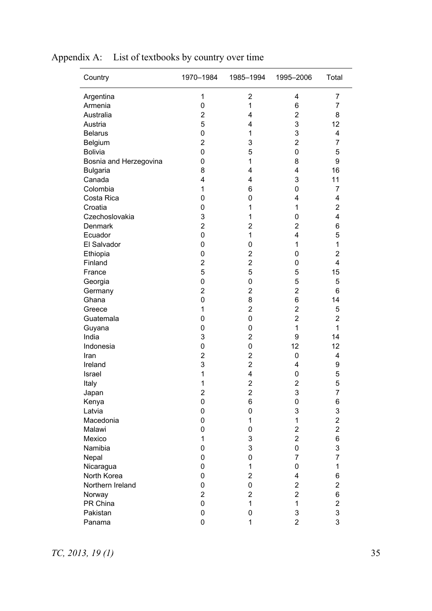| Country                | 1970-1984               | 1985-1994               | 1995-2006      | Total                   |
|------------------------|-------------------------|-------------------------|----------------|-------------------------|
| Argentina              | 1                       | 2                       | 4              | $\overline{7}$          |
| Armenia                | 0                       | 1                       | 6              | 7                       |
| Australia              | $\overline{2}$          | 4                       | $\overline{2}$ | 8                       |
| Austria                | 5                       | 4                       | 3              | 12                      |
| <b>Belarus</b>         | 0                       | $\mathbf 1$             | 3              | 4                       |
| Belgium                | 2                       | 3                       | $\overline{2}$ | 7                       |
| <b>Bolivia</b>         | 0                       | 5                       | 0              | 5                       |
| Bosnia and Herzegovina | 0                       | $\mathbf{1}$            | 8              | 9                       |
| <b>Bulgaria</b>        | 8                       | 4                       | 4              | 16                      |
| Canada                 | 4                       | 4                       | 3              | 11                      |
| Colombia               | 1                       | 6                       | 0              | 7                       |
| Costa Rica             | 0                       | 0                       | 4              | 4                       |
| Croatia                | 0                       | 1                       | 1              | 2                       |
| Czechoslovakia         | 3                       | 1                       | 0              | 4                       |
| Denmark                | 2                       | 2                       | $\overline{2}$ | 6                       |
| Ecuador                | 0                       | $\mathbf 1$             | 4              | 5                       |
| El Salvador            | 0                       | 0                       | 1              | 1                       |
| Ethiopia               | 0                       | 2                       | 0              | $\overline{2}$          |
| Finland                | $\overline{2}$          | $\overline{2}$          | 0              | 4                       |
| France                 | 5                       | 5                       | 5              | 15                      |
| Georgia                | 0                       | 0                       | 5              | 5                       |
| Germany                | 2                       | 2                       | $\overline{2}$ | 6                       |
| Ghana                  | 0                       | 8                       | 6              | 14                      |
| Greece                 | 1                       | 2                       | $\overline{2}$ | 5                       |
| Guatemala              | 0                       | 0                       | $\overline{2}$ | $\overline{\mathbf{c}}$ |
| Guyana                 | 0                       | 0                       | $\mathbf{1}$   | 1                       |
| India                  | 3                       | 2                       | 9              | 14                      |
| Indonesia              | 0                       | 0                       | 12             | 12                      |
|                        | $\overline{2}$          | 2                       |                |                         |
| Iran                   |                         |                         | 0              | 4                       |
| Ireland                | 3                       | $\overline{2}$          | 4              | 9                       |
| Israel                 | 1                       | 4                       | 0              | 5                       |
| Italy                  | 1                       | $\overline{2}$          | $\overline{2}$ | 5                       |
| Japan                  | $\overline{\mathbf{c}}$ | $\overline{\mathbf{c}}$ | 3              | 7                       |
| Kenya                  | $\pmb{0}$               | 6                       | 0              | 6                       |
| Latvia                 | 0                       | 0                       | 3              | 3                       |
| Macedonia              | 0                       | $\mathbf 1$             | $\mathbf{1}$   | $\overline{2}$          |
| Malawi                 | 0                       | 0                       | $\overline{c}$ | $\overline{2}$          |
| Mexico                 | 1                       | 3                       | $\overline{2}$ | 6                       |
| Namibia                | 0                       | 3                       | 0              | 3                       |
| Nepal                  | $\mathbf 0$             | 0                       | $\overline{7}$ | $\overline{7}$          |
| Nicaragua              | 0                       | $\mathbf 1$             | 0              | 1                       |
| North Korea            | 0                       | $\overline{2}$          | 4              | 6                       |
| Northern Ireland       | 0                       | 0                       | $\overline{c}$ | $\overline{2}$          |
| Norway                 | $\overline{2}$          | $\overline{2}$          | $\overline{2}$ | 6                       |
| PR China               | 0                       | 1                       | 1              | $\overline{2}$          |
| Pakistan               | $\mathbf 0$             | 0                       | 3              | 3                       |
| Panama                 | 0                       | 1                       | $\overline{2}$ | 3                       |

# Appendix A: List of textbooks by country over time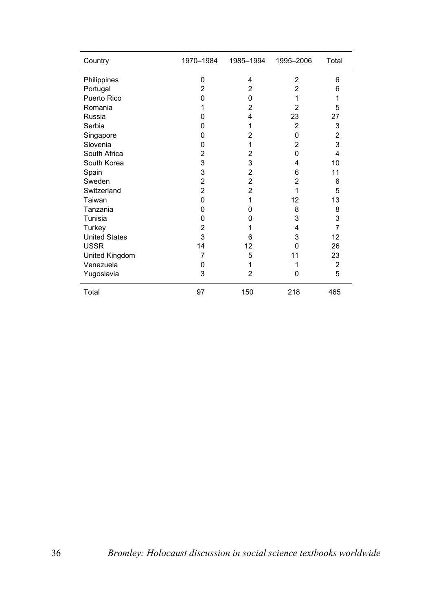| Country              | 1970-1984      | 1985-1994      | 1995-2006      | Total          |
|----------------------|----------------|----------------|----------------|----------------|
| Philippines          | 0              | 4              | $\overline{2}$ | 6              |
| Portugal             | 2              | 2              | 2              | 6              |
| Puerto Rico          | 0              | 0              | 1              | 1              |
| Romania              | 1              | 2              | $\overline{2}$ | 5              |
| Russia               | 0              | 4              | 23             | 27             |
| Serbia               | 0              | 1              | $\overline{2}$ | 3              |
| Singapore            | 0              | 2              | 0              | $\overline{2}$ |
| Slovenia             | 0              | 1              | $\overline{2}$ | 3              |
| South Africa         | 2              | 2              | $\Omega$       | $\overline{4}$ |
| South Korea          | 3              | 3              | 4              | 10             |
| Spain                | 3              | 2              | 6              | 11             |
| Sweden               | $\overline{2}$ | 2              | $\overline{2}$ | 6              |
| Switzerland          | $\overline{2}$ | $\overline{2}$ | 1              | 5              |
| Taiwan               | 0              | 1              | 12             | 13             |
| Tanzania             | 0              | 0              | 8              | 8              |
| Tunisia              | 0              | 0              | 3              | 3              |
| Turkey               | 2              | 1              | 4              | 7              |
| <b>United States</b> | 3              | 6              | 3              | 12             |
| <b>USSR</b>          | 14             | 12             | 0              | 26             |
| United Kingdom       | 7              | 5              | 11             | 23             |
| Venezuela            | 0              | 1              | 1              | 2              |
| Yugoslavia           | 3              | 2              | 0              | 5              |
| Total                | 97             | 150            | 218            | 465            |